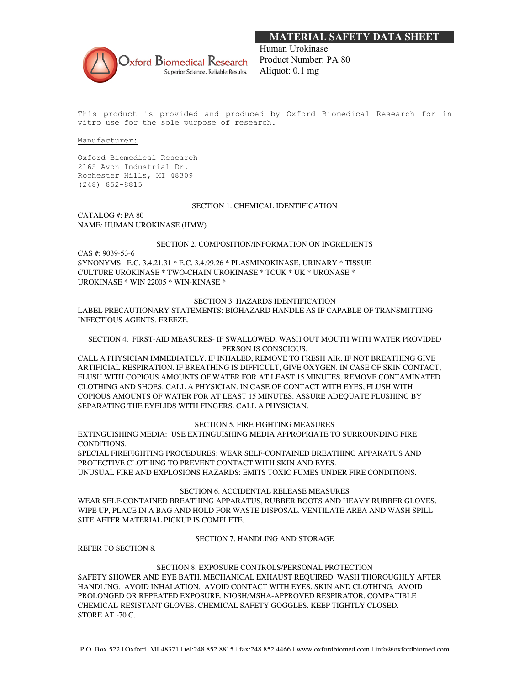# **MATERIAL SAFETY DATA SHEET**



Human Urokinase Product Number: PA 80 Aliquot: 0.1 mg

This product is provided and produced by Oxford Biomedical Research for in vitro use for the sole purpose of research.

#### Manufacturer:

Oxford Biomedical Research 2165 Avon Industrial Dr. Rochester Hills, MI 48309 (248) 852-8815

#### SECTION 1. CHEMICAL IDENTIFICATION

CATALOG #: PA 80 NAME: HUMAN UROKINASE (HMW)

#### SECTION 2. COMPOSITION/INFORMATION ON INGREDIENTS

CAS #: 9039-53-6 SYNONYMS: E.C. 3.4.21.31 \* E.C. 3.4.99.26 \* PLASMINOKINASE, URINARY \* TISSUE CULTURE UROKINASE \* TWO-CHAIN UROKINASE \* TCUK \* UK \* URONASE \* UROKINASE \* WIN 22005 \* WIN-KINASE \*

#### SECTION 3. HAZARDS IDENTIFICATION

LABEL PRECAUTIONARY STATEMENTS: BIOHAZARD HANDLE AS IF CAPABLE OF TRANSMITTING INFECTIOUS AGENTS. FREEZE.

#### SECTION 4. FIRST-AID MEASURES- IF SWALLOWED, WASH OUT MOUTH WITH WATER PROVIDED PERSON IS CONSCIOUS.

CALL A PHYSICIAN IMMEDIATELY. IF INHALED, REMOVE TO FRESH AIR. IF NOT BREATHING GIVE ARTIFICIAL RESPIRATION. IF BREATHING IS DIFFICULT, GIVE OXYGEN. IN CASE OF SKIN CONTACT, FLUSH WITH COPIOUS AMOUNTS OF WATER FOR AT LEAST 15 MINUTES. REMOVE CONTAMINATED CLOTHING AND SHOES. CALL A PHYSICIAN. IN CASE OF CONTACT WITH EYES, FLUSH WITH COPIOUS AMOUNTS OF WATER FOR AT LEAST 15 MINUTES. ASSURE ADEQUATE FLUSHING BY SEPARATING THE EYELIDS WITH FINGERS. CALL A PHYSICIAN.

# SECTION 5. FIRE FIGHTING MEASURES

EXTINGUISHING MEDIA: USE EXTINGUISHING MEDIA APPROPRIATE TO SURROUNDING FIRE CONDITIONS.

SPECIAL FIREFIGHTING PROCEDURES: WEAR SELF-CONTAINED BREATHING APPARATUS AND PROTECTIVE CLOTHING TO PREVENT CONTACT WITH SKIN AND EYES. UNUSUAL FIRE AND EXPLOSIONS HAZARDS: EMITS TOXIC FUMES UNDER FIRE CONDITIONS.

#### SECTION 6. ACCIDENTAL RELEASE MEASURES

WEAR SELF-CONTAINED BREATHING APPARATUS, RUBBER BOOTS AND HEAVY RUBBER GLOVES. WIPE UP, PLACE IN A BAG AND HOLD FOR WASTE DISPOSAL. VENTILATE AREA AND WASH SPILL SITE AFTER MATERIAL PICKUP IS COMPLETE.

# SECTION 7. HANDLING AND STORAGE

REFER TO SECTION 8.

#### SECTION 8. EXPOSURE CONTROLS/PERSONAL PROTECTION

SAFETY SHOWER AND EYE BATH. MECHANICAL EXHAUST REQUIRED. WASH THOROUGHLY AFTER HANDLING. AVOID INHALATION. AVOID CONTACT WITH EYES, SKIN AND CLOTHING. AVOID PROLONGED OR REPEATED EXPOSURE. NIOSH/MSHA-APPROVED RESPIRATOR. COMPATIBLE CHEMICAL-RESISTANT GLOVES. CHEMICAL SAFETY GOGGLES. KEEP TIGHTLY CLOSED. STORE AT -70 C.